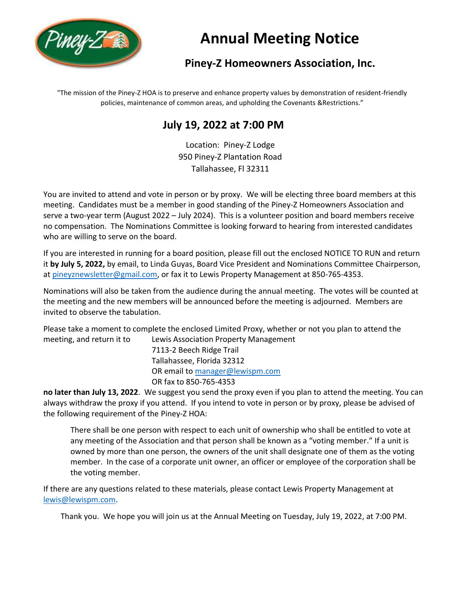

# **Annual Meeting Notice**

# **Piney-Z Homeowners Association, Inc.**

"The mission of the Piney-Z HOA is to preserve and enhance property values by demonstration of resident-friendly policies, maintenance of common areas, and upholding the Covenants &Restrictions."

# **July 19, 2022 at 7:00 PM**

Location: Piney-Z Lodge 950 Piney-Z Plantation Road Tallahassee, Fl 32311

You are invited to attend and vote in person or by proxy. We will be electing three board members at this meeting. Candidates must be a member in good standing of the Piney-Z Homeowners Association and serve a two-year term (August 2022 – July 2024). This is a volunteer position and board members receive no compensation. The Nominations Committee is looking forward to hearing from interested candidates who are willing to serve on the board.

If you are interested in running for a board position, please fill out the enclosed NOTICE TO RUN and return it **by July 5, 2022,** by email, to Linda Guyas, Board Vice President and Nominations Committee Chairperson, at [pineyznewsletter@gmail.com,](mailto:pineyznewsletter@gmail.com) or fax it to Lewis Property Management at 850-765-4353.

Nominations will also be taken from the audience during the annual meeting. The votes will be counted at the meeting and the new members will be announced before the meeting is adjourned. Members are invited to observe the tabulation.

Please take a moment to complete the enclosed Limited Proxy, whether or not you plan to attend the meeting, and return it to Lewis Association Property Management

7113-2 Beech Ridge Trail Tallahassee, Florida 32312 OR email to [manager@lewispm.com](mailto:manager@lewispm.com) OR fax to 850-765-4353

**no later than July 13, 2022**. We suggest you send the proxy even if you plan to attend the meeting. You can always withdraw the proxy if you attend. If you intend to vote in person or by proxy, please be advised of the following requirement of the Piney-Z HOA:

There shall be one person with respect to each unit of ownership who shall be entitled to vote at any meeting of the Association and that person shall be known as a "voting member." If a unit is owned by more than one person, the owners of the unit shall designate one of them as the voting member. In the case of a corporate unit owner, an officer or employee of the corporation shall be the voting member.

If there are any questions related to these materials, please contact Lewis Property Management at [lewis@lewispm.com.](mailto:lewis@lewispm.com)

Thank you. We hope you will join us at the Annual Meeting on Tuesday, July 19, 2022, at 7:00 PM.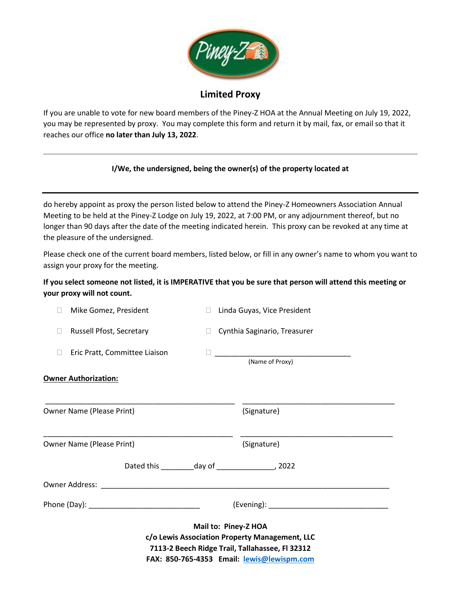

## **Limited Proxy**

If you are unable to vote for new board members of the Piney-Z HOA at the Annual Meeting on July 19, 2022, you may be represented by proxy. You may complete this form and return it by mail, fax, or email so that it reaches our office **no later than July 13, 2022**.

#### **I/We, the undersigned, being the owner(s) of the property located at**

do hereby appoint as proxy the person listed below to attend the Piney-Z Homeowners Association Annual Meeting to be held at the Piney-Z Lodge on July 19, 2022, at 7:00 PM, or any adjournment thereof, but no longer than 90 days after the date of the meeting indicated herein. This proxy can be revoked at any time at the pleasure of the undersigned.

Please check one of the current board members, listed below, or fill in any owner's name to whom you want to assign your proxy for the meeting.

#### **If you select someone not listed, it is IMPERATIVE that you be sure that person will attend this meeting or your proxy will not count.**

|                                                                                                                                                                         | Mike Gomez, President                                     | $\Box$ |  | Linda Guyas, Vice President    |  |  |  |
|-------------------------------------------------------------------------------------------------------------------------------------------------------------------------|-----------------------------------------------------------|--------|--|--------------------------------|--|--|--|
| $\Box$                                                                                                                                                                  | Russell Pfost, Secretary                                  |        |  | □ Cynthia Saginario, Treasurer |  |  |  |
|                                                                                                                                                                         | Eric Pratt, Committee Liaison                             |        |  | (Name of Proxy)                |  |  |  |
|                                                                                                                                                                         | <b>Owner Authorization:</b>                               |        |  |                                |  |  |  |
|                                                                                                                                                                         | Owner Name (Please Print)                                 |        |  | (Signature)                    |  |  |  |
|                                                                                                                                                                         | Owner Name (Please Print)                                 |        |  | (Signature)                    |  |  |  |
|                                                                                                                                                                         | Dated this __________ day of ______________________, 2022 |        |  |                                |  |  |  |
|                                                                                                                                                                         |                                                           |        |  |                                |  |  |  |
|                                                                                                                                                                         | Phone (Day): _________________________________            |        |  |                                |  |  |  |
| Mail to: Piney-Z HOA<br>c/o Lewis Association Property Management, LLC<br>7113-2 Beech Ridge Trail, Tallahassee, Fl 32312<br>FAX: 850-765-4353 Email: lewis@lewispm.com |                                                           |        |  |                                |  |  |  |